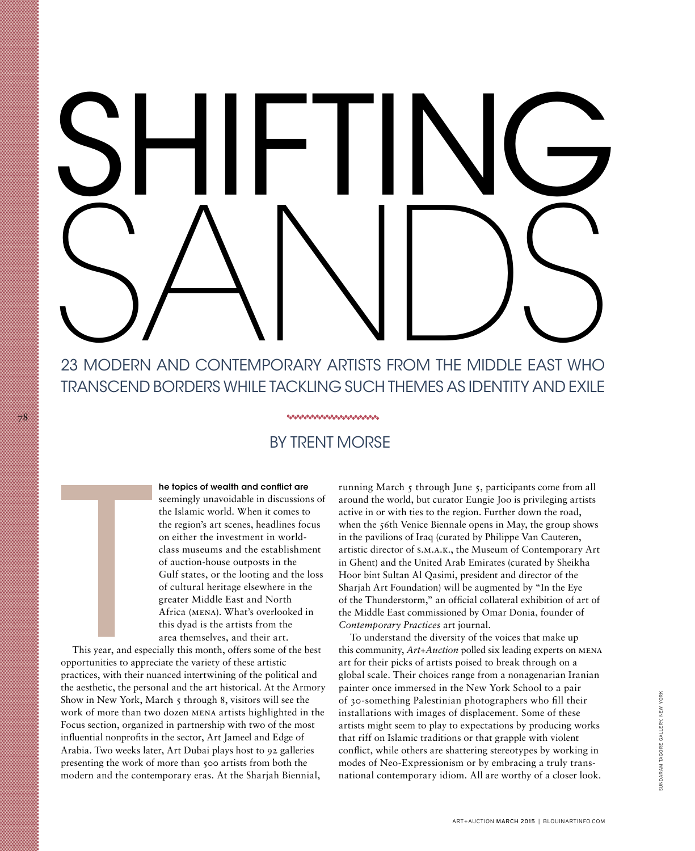# SHIFTING 23 MODERN AND CONTEMPORARY ARTISTS FROM THE MIDDLE

# 23 modern and contemporary artists from the Middle East who transcend borders while tackling such themes as identity and exile

### \*\*\*\*\*\*\*\*\*\*\*\*\*\*\*\*\*\*\*\*\*\*\*\*\*\*\*\*

## by trent morse

he topics of wealth and conflict are seemingly unavoidable in discussions of the Islamic world. When it comes to the region's art scenes, headlines focus on either the investment in worldclass museums and the establishment of auction-house outposts in the Gulf states, or the looting and the loss of cultural heritage elsewhere in the greater Middle East and North Africa (mena). What's overlooked in this dyad is the artists from the area themselves, and their art.

This year, and especially this month, offers some of the best opportunities to appreciate the variety of these artistic practices, with their nuanced intertwining of the political and the aesthetic, the personal and the art historical. At the Armory Show in New York, March 5 through 8, visitors will see the work of more than two dozen mena artists highlighted in the Focus section, organized in partnership with two of the most influential nonprofits in the sector, Art Jameel and Edge of Arabia. Two weeks later, Art Dubai plays host to 92 galleries presenting the work of more than 500 artists from both the modern and the contemporary eras. At the Sharjah Biennial,

78

running March 5 through June 5, participants come from all around the world, but curator Eungie Joo is privileging artists active in or with ties to the region. Further down the road, when the 56th Venice Biennale opens in May, the group shows in the pavilions of Iraq (curated by Philippe Van Cauteren, artistic director of s.m.a.k., the Museum of Contemporary Art in Ghent) and the United Arab Emirates (curated by Sheikha Hoor bint Sultan Al Qasimi, president and director of the Sharjah Art Foundation) will be augmented by "In the Eye of the Thunderstorm," an official collateral exhibition of art of the Middle East commissioned by Omar Donia, founder of *Contemporary Practices* art journal.

To understand the diversity of the voices that make up this community, *Art+Auction* polled six leading experts on mena art for their picks of artists poised to break through on a global scale. Their choices range from a nonagenarian Iranian painter once immersed in the New York School to a pair of 30-something Palestinian photographers who fill their installations with images of displacement. Some of these artists might seem to play to expectations by producing works that riff on Islamic traditions or that grapple with violent conflict, while others are shattering stereotypes by working in modes of Neo-Expressionism or by embracing a truly transnational contemporary idiom. All are worthy of a closer look.